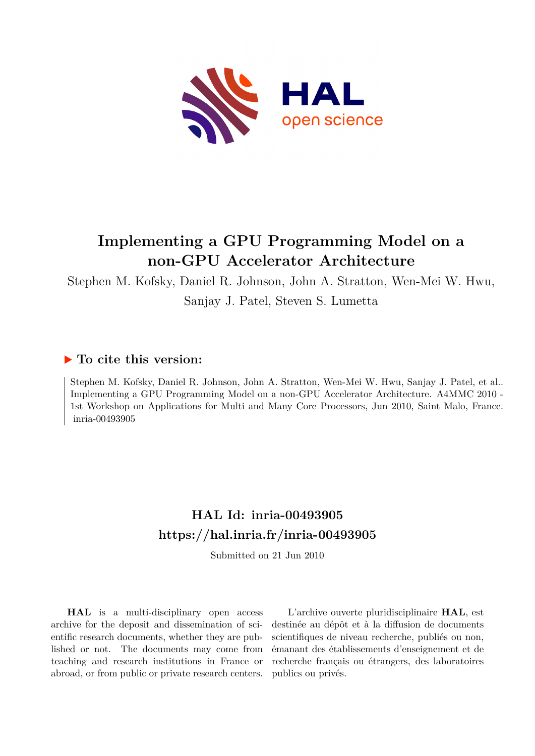

# **Implementing a GPU Programming Model on a non-GPU Accelerator Architecture**

Stephen M. Kofsky, Daniel R. Johnson, John A. Stratton, Wen-Mei W. Hwu, Sanjay J. Patel, Steven S. Lumetta

# **To cite this version:**

Stephen M. Kofsky, Daniel R. Johnson, John A. Stratton, Wen-Mei W. Hwu, Sanjay J. Patel, et al.. Implementing a GPU Programming Model on a non-GPU Accelerator Architecture. A4MMC 2010 - 1st Workshop on Applications for Multi and Many Core Processors, Jun 2010, Saint Malo, France. inria-00493905

# **HAL Id: inria-00493905 <https://hal.inria.fr/inria-00493905>**

Submitted on 21 Jun 2010

**HAL** is a multi-disciplinary open access archive for the deposit and dissemination of scientific research documents, whether they are published or not. The documents may come from teaching and research institutions in France or abroad, or from public or private research centers.

L'archive ouverte pluridisciplinaire **HAL**, est destinée au dépôt et à la diffusion de documents scientifiques de niveau recherche, publiés ou non, émanant des établissements d'enseignement et de recherche français ou étrangers, des laboratoires publics ou privés.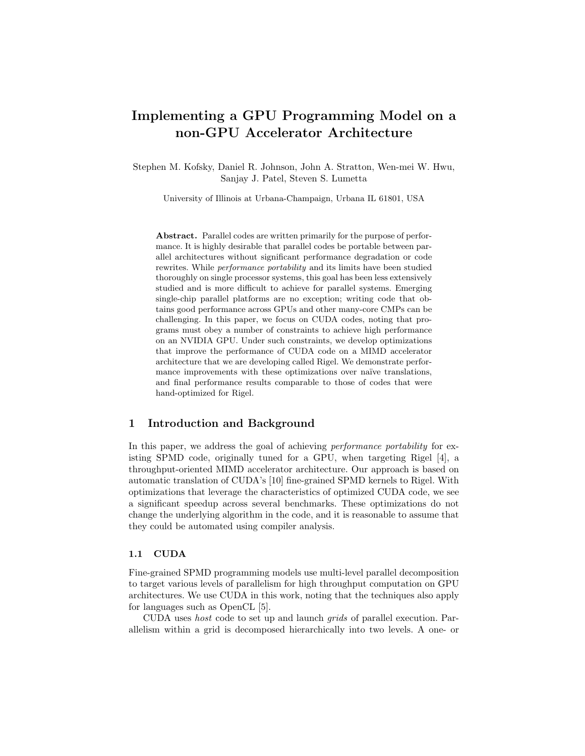# Implementing a GPU Programming Model on a non-GPU Accelerator Architecture

Stephen M. Kofsky, Daniel R. Johnson, John A. Stratton, Wen-mei W. Hwu, Sanjay J. Patel, Steven S. Lumetta

University of Illinois at Urbana-Champaign, Urbana IL 61801, USA

Abstract. Parallel codes are written primarily for the purpose of performance. It is highly desirable that parallel codes be portable between parallel architectures without significant performance degradation or code rewrites. While *performance portability* and its limits have been studied thoroughly on single processor systems, this goal has been less extensively studied and is more difficult to achieve for parallel systems. Emerging single-chip parallel platforms are no exception; writing code that obtains good performance across GPUs and other many-core CMPs can be challenging. In this paper, we focus on CUDA codes, noting that programs must obey a number of constraints to achieve high performance on an NVIDIA GPU. Under such constraints, we develop optimizations that improve the performance of CUDA code on a MIMD accelerator architecture that we are developing called Rigel. We demonstrate performance improvements with these optimizations over naïve translations, and final performance results comparable to those of codes that were hand-optimized for Rigel.

### 1 Introduction and Background

In this paper, we address the goal of achieving *performance portability* for existing SPMD code, originally tuned for a GPU, when targeting Rigel [4], a throughput-oriented MIMD accelerator architecture. Our approach is based on automatic translation of CUDA's [10] fine-grained SPMD kernels to Rigel. With optimizations that leverage the characteristics of optimized CUDA code, we see a significant speedup across several benchmarks. These optimizations do not change the underlying algorithm in the code, and it is reasonable to assume that they could be automated using compiler analysis.

#### 1.1 CUDA

Fine-grained SPMD programming models use multi-level parallel decomposition to target various levels of parallelism for high throughput computation on GPU architectures. We use CUDA in this work, noting that the techniques also apply for languages such as OpenCL [5].

CUDA uses host code to set up and launch grids of parallel execution. Parallelism within a grid is decomposed hierarchically into two levels. A one- or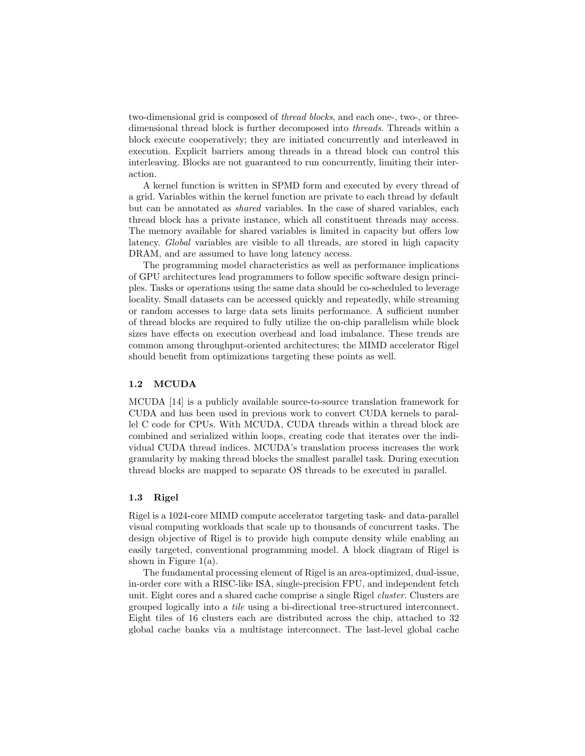two-dimensional grid is composed of thread blocks, and each one-, two-, or threedimensional thread block is further decomposed into threads. Threads within a block execute cooperatively; they are initiated concurrently and interleaved in execution. Explicit barriers among threads in a thread block can control this interleaving. Blocks are not guaranteed to run concurrently, limiting their interaction.

A kernel function is written in SPMD form and executed by every thread of a grid. Variables within the kernel function are private to each thread by default but can be annotated as shared variables. In the case of shared variables, each thread block has a private instance, which all constituent threads may access. The memory available for shared variables is limited in capacity but offers low latency. Global variables are visible to all threads, are stored in high capacity DRAM, and are assumed to have long latency access.

The programming model characteristics as well as performance implications of GPU architectures lead programmers to follow specific software design principles. Tasks or operations using the same data should be co-scheduled to leverage locality. Small datasets can be accessed quickly and repeatedly, while streaming or random accesses to large data sets limits performance. A sufficient number of thread blocks are required to fully utilize the on-chip parallelism while block sizes have effects on execution overhead and load imbalance. These trends are common among throughput-oriented architectures; the MIMD accelerator Rigel should benefit from optimizations targeting these points as well.

#### 1.2 MCUDA

MCUDA [14] is a publicly available source-to-source translation framework for CUDA and has been used in previous work to convert CUDA kernels to parallel C code for CPUs. With MCUDA, CUDA threads within a thread block are combined and serialized within loops, creating code that iterates over the individual CUDA thread indices. MCUDA's translation process increases the work granularity by making thread blocks the smallest parallel task. During execution thread blocks are mapped to separate OS threads to be executed in parallel.

#### 1.3 Rigel

Rigel is a 1024-core MIMD compute accelerator targeting task- and data-parallel visual computing workloads that scale up to thousands of concurrent tasks. The design objective of Rigel is to provide high compute density while enabling an easily targeted, conventional programming model. A block diagram of Rigel is shown in Figure  $1(a)$ .

The fundamental processing element of Rigel is an area-optimized, dual-issue, in-order core with a RISC-like ISA, single-precision FPU, and independent fetch unit. Eight cores and a shared cache comprise a single Rigel cluster. Clusters are grouped logically into a tile using a bi-directional tree-structured interconnect. Eight tiles of 16 clusters each are distributed across the chip, attached to 32 global cache banks via a multistage interconnect. The last-level global cache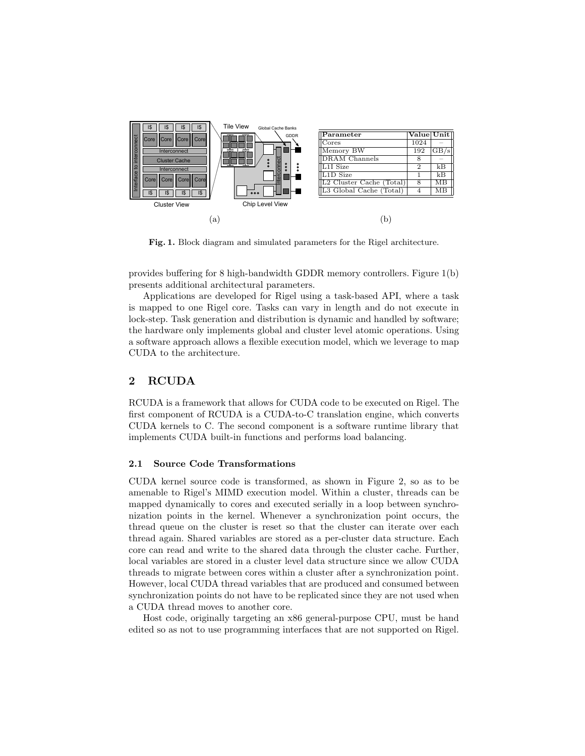

Fig. 1. Block diagram and simulated parameters for the Rigel architecture.

provides buffering for 8 high-bandwidth GDDR memory controllers. Figure 1(b) presents additional architectural parameters.

Applications are developed for Rigel using a task-based API, where a task is mapped to one Rigel core. Tasks can vary in length and do not execute in lock-step. Task generation and distribution is dynamic and handled by software; the hardware only implements global and cluster level atomic operations. Using a software approach allows a flexible execution model, which we leverage to map CUDA to the architecture.

# 2 RCUDA

RCUDA is a framework that allows for CUDA code to be executed on Rigel. The first component of RCUDA is a CUDA-to-C translation engine, which converts CUDA kernels to C. The second component is a software runtime library that implements CUDA built-in functions and performs load balancing.

#### 2.1 Source Code Transformations

CUDA kernel source code is transformed, as shown in Figure 2, so as to be amenable to Rigel's MIMD execution model. Within a cluster, threads can be mapped dynamically to cores and executed serially in a loop between synchronization points in the kernel. Whenever a synchronization point occurs, the thread queue on the cluster is reset so that the cluster can iterate over each thread again. Shared variables are stored as a per-cluster data structure. Each core can read and write to the shared data through the cluster cache. Further, local variables are stored in a cluster level data structure since we allow CUDA threads to migrate between cores within a cluster after a synchronization point. However, local CUDA thread variables that are produced and consumed between synchronization points do not have to be replicated since they are not used when a CUDA thread moves to another core.

Host code, originally targeting an x86 general-purpose CPU, must be hand edited so as not to use programming interfaces that are not supported on Rigel.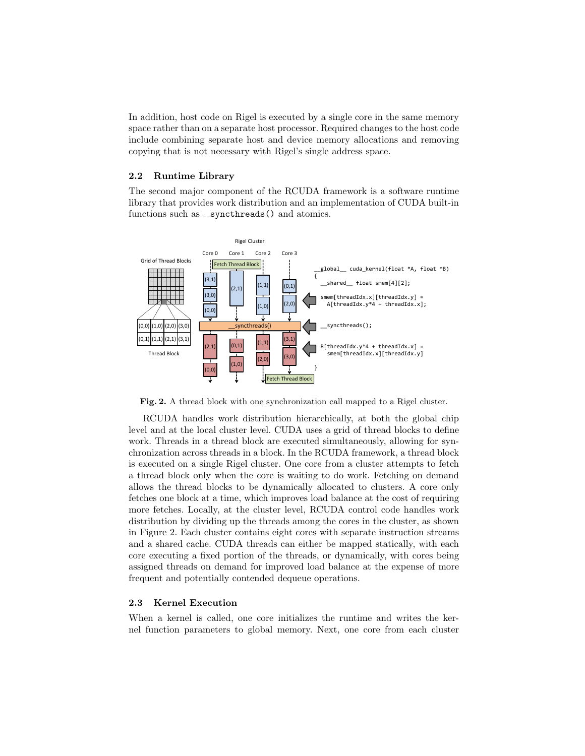In addition, host code on Rigel is executed by a single core in the same memory space rather than on a separate host processor. Required changes to the host code include combining separate host and device memory allocations and removing copying that is not necessary with Rigel's single address space.

#### 2.2 Runtime Library

The second major component of the RCUDA framework is a software runtime library that provides work distribution and an implementation of CUDA built-in functions such as  $\text{\_syncthreads}()$  and atomics.



Fig. 2. A thread block with one synchronization call mapped to a Rigel cluster.

RCUDA handles work distribution hierarchically, at both the global chip level and at the local cluster level. CUDA uses a grid of thread blocks to define work. Threads in a thread block are executed simultaneously, allowing for synchronization across threads in a block. In the RCUDA framework, a thread block is executed on a single Rigel cluster. One core from a cluster attempts to fetch a thread block only when the core is waiting to do work. Fetching on demand allows the thread blocks to be dynamically allocated to clusters. A core only fetches one block at a time, which improves load balance at the cost of requiring more fetches. Locally, at the cluster level, RCUDA control code handles work distribution by dividing up the threads among the cores in the cluster, as shown in Figure 2. Each cluster contains eight cores with separate instruction streams and a shared cache. CUDA threads can either be mapped statically, with each core executing a fixed portion of the threads, or dynamically, with cores being assigned threads on demand for improved load balance at the expense of more frequent and potentially contended dequeue operations.

#### 2.3 Kernel Execution

When a kernel is called, one core initializes the runtime and writes the kernel function parameters to global memory. Next, one core from each cluster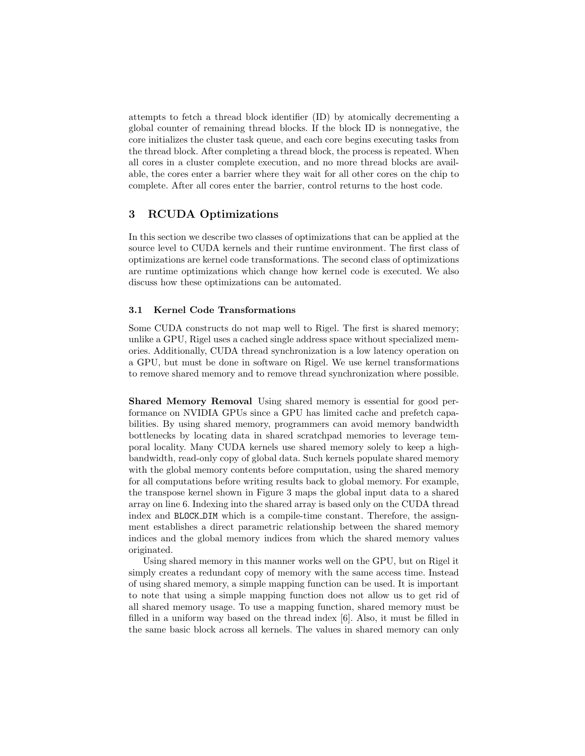attempts to fetch a thread block identifier (ID) by atomically decrementing a global counter of remaining thread blocks. If the block ID is nonnegative, the core initializes the cluster task queue, and each core begins executing tasks from the thread block. After completing a thread block, the process is repeated. When all cores in a cluster complete execution, and no more thread blocks are available, the cores enter a barrier where they wait for all other cores on the chip to complete. After all cores enter the barrier, control returns to the host code.

# 3 RCUDA Optimizations

In this section we describe two classes of optimizations that can be applied at the source level to CUDA kernels and their runtime environment. The first class of optimizations are kernel code transformations. The second class of optimizations are runtime optimizations which change how kernel code is executed. We also discuss how these optimizations can be automated.

# 3.1 Kernel Code Transformations

Some CUDA constructs do not map well to Rigel. The first is shared memory; unlike a GPU, Rigel uses a cached single address space without specialized memories. Additionally, CUDA thread synchronization is a low latency operation on a GPU, but must be done in software on Rigel. We use kernel transformations to remove shared memory and to remove thread synchronization where possible.

Shared Memory Removal Using shared memory is essential for good performance on NVIDIA GPUs since a GPU has limited cache and prefetch capabilities. By using shared memory, programmers can avoid memory bandwidth bottlenecks by locating data in shared scratchpad memories to leverage temporal locality. Many CUDA kernels use shared memory solely to keep a highbandwidth, read-only copy of global data. Such kernels populate shared memory with the global memory contents before computation, using the shared memory for all computations before writing results back to global memory. For example, the transpose kernel shown in Figure 3 maps the global input data to a shared array on line 6. Indexing into the shared array is based only on the CUDA thread index and BLOCK DIM which is a compile-time constant. Therefore, the assignment establishes a direct parametric relationship between the shared memory indices and the global memory indices from which the shared memory values originated.

Using shared memory in this manner works well on the GPU, but on Rigel it simply creates a redundant copy of memory with the same access time. Instead of using shared memory, a simple mapping function can be used. It is important to note that using a simple mapping function does not allow us to get rid of all shared memory usage. To use a mapping function, shared memory must be filled in a uniform way based on the thread index [6]. Also, it must be filled in the same basic block across all kernels. The values in shared memory can only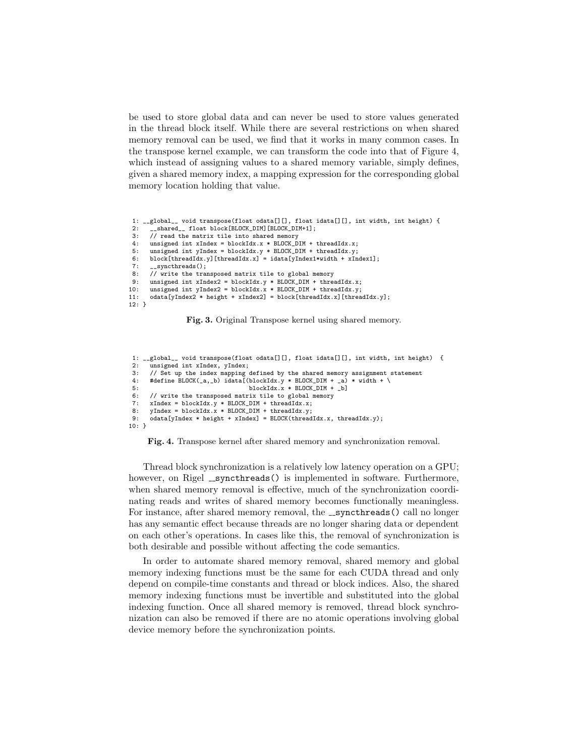be used to store global data and can never be used to store values generated in the thread block itself. While there are several restrictions on when shared memory removal can be used, we find that it works in many common cases. In the transpose kernel example, we can transform the code into that of Figure 4, which instead of assigning values to a shared memory variable, simply defines, given a shared memory index, a mapping expression for the corresponding global memory location holding that value.

```
1: __global__ void transpose(float odata[][], float idata[][], int width, int height) {
 2: __shared__ float block[BLOCK_DIM][BLOCK_DIM+1];<br>3: // read the matrix tile into shared memory
       // read the matrix tile into shared memory
 4: unsigned int xIndex = blockIdx.x * BLOCK_DIM + threadIdx.x;
 5: unsigned int yIndex = blockIdx.y * BLOCK_DIM + threadIdx.y;
 6: block[threadIdx.y][threadIdx.x] = idata[yIndex1*width + xIndex1];
 7: __syncthreads();
8: // write the transposed matrix tile to global memory<br>9: unsigned int xIndex? = blockIdx x * BLOCK DIM + three
       unsigned int xIndex2 = blockIdx.y * BLOCK_DIM + threadIdx.x;
10: unsigned int yIndex2 = blockIdx.x * BLOCK_DIM + threadIdx.y;<br>11: odata[yIndex2 * height + xIndex2] = block[threadIdx.x][threa
      odata[yIndex2 * height + xIndex2] = block[threadIdx.x][threadIdx.y];
12: }
```


```
1: __global__ void transpose(float odata[][], float idata[][], int width, int height) {
 2: unsigned int xIndex, yIndex;<br>3: // Set up the index mapping
       // Set up the index mapping defined by the shared memory assignment statement
 4: #define BLOCK(_a,_b) idata[(blockIdx.y * BLOCK_DIM + _a) * width + \<br>5: blockIdx.x * BLOCK DIM + bl
                                             blockListax.x * BLOGY_DIM + _b]6: // write the transposed matrix tile to global memory<br>7: xIndex = blockIdx.v * BLOCK DIM + threadIdx.x:
       xIndex = blockIdx.y * BLOGY_DIM + threadIdx.x;8: yIndex = blockIdx.x * BLOCAL_DIM + threadIdx.y;<br>9: odata[vIndex * height + xIndex] = BLOCK(threadI).\text{odata}[yIndex * height + xIndex] = \text{BLOCK}(threadIdx.x, threadIdx.y);10: }
```
Fig. 4. Transpose kernel after shared memory and synchronization removal.

Thread block synchronization is a relatively low latency operation on a GPU; however, on Rigel \_syncthreads() is implemented in software. Furthermore, when shared memory removal is effective, much of the synchronization coordinating reads and writes of shared memory becomes functionally meaningless. For instance, after shared memory removal, the \_syncthreads() call no longer has any semantic effect because threads are no longer sharing data or dependent on each other's operations. In cases like this, the removal of synchronization is both desirable and possible without affecting the code semantics.

In order to automate shared memory removal, shared memory and global memory indexing functions must be the same for each CUDA thread and only depend on compile-time constants and thread or block indices. Also, the shared memory indexing functions must be invertible and substituted into the global indexing function. Once all shared memory is removed, thread block synchronization can also be removed if there are no atomic operations involving global device memory before the synchronization points.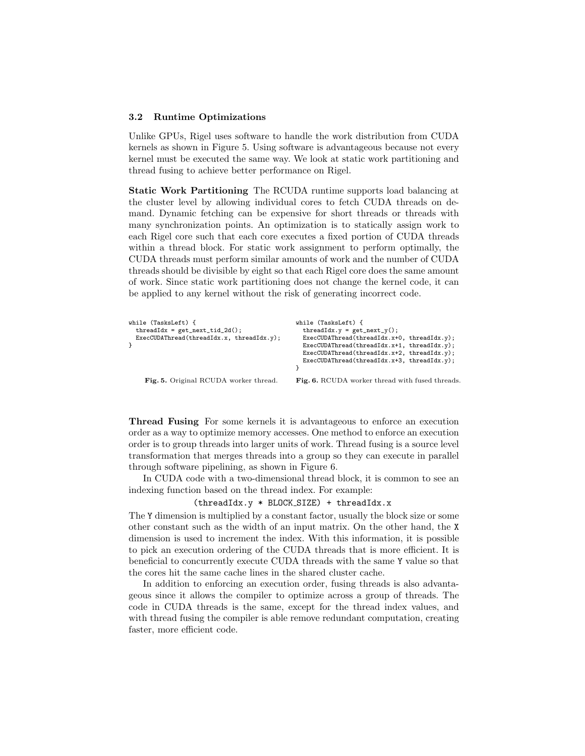#### 3.2 Runtime Optimizations

Unlike GPUs, Rigel uses software to handle the work distribution from CUDA kernels as shown in Figure 5. Using software is advantageous because not every kernel must be executed the same way. We look at static work partitioning and thread fusing to achieve better performance on Rigel.

Static Work Partitioning The RCUDA runtime supports load balancing at the cluster level by allowing individual cores to fetch CUDA threads on demand. Dynamic fetching can be expensive for short threads or threads with many synchronization points. An optimization is to statically assign work to each Rigel core such that each core executes a fixed portion of CUDA threads within a thread block. For static work assignment to perform optimally, the CUDA threads must perform similar amounts of work and the number of CUDA threads should be divisible by eight so that each Rigel core does the same amount of work. Since static work partitioning does not change the kernel code, it can be applied to any kernel without the risk of generating incorrect code.

| while (TasksLeft) {<br>$threadIdx = get\_next\_tid_2d()$ ;<br>$ExecCUDAThread(threadIdx.x, threadIdx.y);$ | while (TasksLeft) {<br>$threadIdx.y = get_new_y()$ ;<br>$ExecCUDAThread(threadIdx.x+0, threadIdx.y);$<br>$ExecCUDAThread(threadIdx.x+1, threadIdx.y);$<br>$ExecCUDAThread(threadIdx.x+2, threadIdx.y);$<br>$ExecCUDAThread(threadIdx.x+3, threadIdx.y);$ |  |
|-----------------------------------------------------------------------------------------------------------|----------------------------------------------------------------------------------------------------------------------------------------------------------------------------------------------------------------------------------------------------------|--|
| Fig. 5. Original RCUDA worker thread.                                                                     | Fig. 6. RCUDA worker thread with fused threads.                                                                                                                                                                                                          |  |

Thread Fusing For some kernels it is advantageous to enforce an execution order as a way to optimize memory accesses. One method to enforce an execution order is to group threads into larger units of work. Thread fusing is a source level transformation that merges threads into a group so they can execute in parallel through software pipelining, as shown in Figure 6.

In CUDA code with a two-dimensional thread block, it is common to see an indexing function based on the thread index. For example:

```
(threadIdx.y * BLOCK SIZE) + threadIdx.x
```
The Y dimension is multiplied by a constant factor, usually the block size or some other constant such as the width of an input matrix. On the other hand, the X dimension is used to increment the index. With this information, it is possible to pick an execution ordering of the CUDA threads that is more efficient. It is beneficial to concurrently execute CUDA threads with the same Y value so that the cores hit the same cache lines in the shared cluster cache.

In addition to enforcing an execution order, fusing threads is also advantageous since it allows the compiler to optimize across a group of threads. The code in CUDA threads is the same, except for the thread index values, and with thread fusing the compiler is able remove redundant computation, creating faster, more efficient code.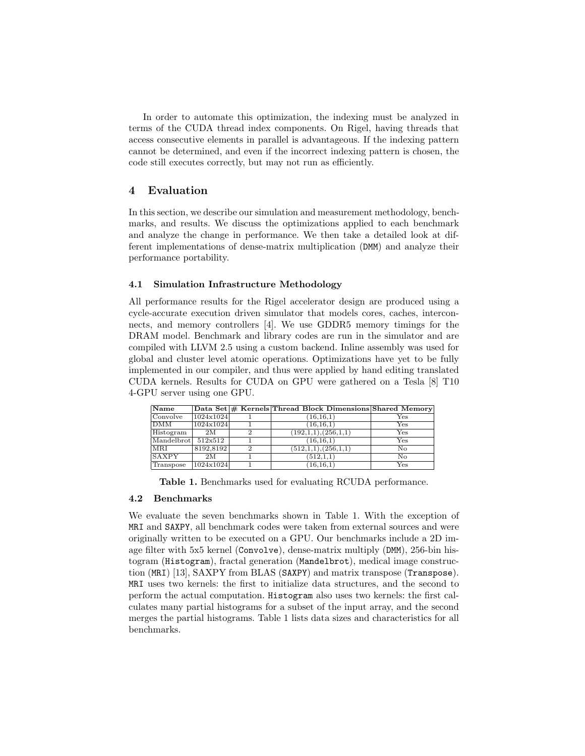In order to automate this optimization, the indexing must be analyzed in terms of the CUDA thread index components. On Rigel, having threads that access consecutive elements in parallel is advantageous. If the indexing pattern cannot be determined, and even if the incorrect indexing pattern is chosen, the code still executes correctly, but may not run as efficiently.

# 4 Evaluation

In this section, we describe our simulation and measurement methodology, benchmarks, and results. We discuss the optimizations applied to each benchmark and analyze the change in performance. We then take a detailed look at different implementations of dense-matrix multiplication (DMM) and analyze their performance portability.

#### 4.1 Simulation Infrastructure Methodology

All performance results for the Rigel accelerator design are produced using a cycle-accurate execution driven simulator that models cores, caches, interconnects, and memory controllers [4]. We use GDDR5 memory timings for the DRAM model. Benchmark and library codes are run in the simulator and are compiled with LLVM 2.5 using a custom backend. Inline assembly was used for global and cluster level atomic operations. Optimizations have yet to be fully implemented in our compiler, and thus were applied by hand editing translated CUDA kernels. Results for CUDA on GPU were gathered on a Tesla [8] T10 4-GPU server using one GPU.

| Name         |           |   | Data Set $#$ Kernels Thread Block Dimensions Shared Memory |                         |
|--------------|-----------|---|------------------------------------------------------------|-------------------------|
| Convolve     | 1024x1024 |   | (16, 16, 1)                                                | Yes                     |
| <b>DMM</b>   | 1024x1024 |   | (16, 16, 1)                                                | Yes                     |
| Histogram    | 2M        |   | (192,1,1),(256,1,1)                                        | Yes                     |
| Mandelbrot   | 512x512   |   | (16, 16, 1)                                                | Yes                     |
| <b>MRI</b>   | 8192.8192 | 2 | (512,1,1),(256,1,1)                                        | $\overline{N_{\Omega}}$ |
| <b>SAXPY</b> | 2M        |   | (512,1,1)                                                  | Nο                      |
| Transpose    | 1024x1024 |   | 16, 16, 1                                                  | Yes                     |

Table 1. Benchmarks used for evaluating RCUDA performance.

#### 4.2 Benchmarks

We evaluate the seven benchmarks shown in Table 1. With the exception of MRI and SAXPY, all benchmark codes were taken from external sources and were originally written to be executed on a GPU. Our benchmarks include a 2D image filter with 5x5 kernel (Convolve), dense-matrix multiply (DMM), 256-bin histogram (Histogram), fractal generation (Mandelbrot), medical image construction (MRI) [13], SAXPY from BLAS (SAXPY) and matrix transpose (Transpose). MRI uses two kernels: the first to initialize data structures, and the second to perform the actual computation. Histogram also uses two kernels: the first calculates many partial histograms for a subset of the input array, and the second merges the partial histograms. Table 1 lists data sizes and characteristics for all benchmarks.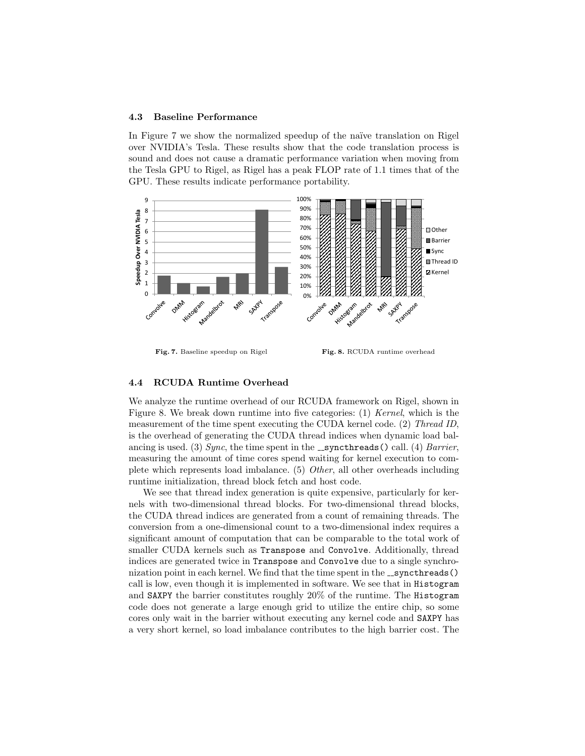#### 4.3 Baseline Performance

In Figure 7 we show the normalized speedup of the naïve translation on Rigel over NVIDIA's Tesla. These results show that the code translation process is sound and does not cause a dramatic performance variation when moving from the Tesla GPU to Rigel, as Rigel has a peak FLOP rate of 1.1 times that of the GPU. These results indicate performance portability.



Fig. 7. Baseline speedup on Rigel

Fig. 8. RCUDA runtime overhead

#### 4.4 RCUDA Runtime Overhead

We analyze the runtime overhead of our RCUDA framework on Rigel, shown in Figure 8. We break down runtime into five categories: (1) Kernel, which is the measurement of the time spent executing the CUDA kernel code. (2) Thread ID, is the overhead of generating the CUDA thread indices when dynamic load balancing is used. (3) Sync, the time spent in the  $\text{\_syncthreads}$  () call. (4) Barrier, measuring the amount of time cores spend waiting for kernel execution to complete which represents load imbalance. (5) Other, all other overheads including runtime initialization, thread block fetch and host code.

We see that thread index generation is quite expensive, particularly for kernels with two-dimensional thread blocks. For two-dimensional thread blocks, the CUDA thread indices are generated from a count of remaining threads. The conversion from a one-dimensional count to a two-dimensional index requires a significant amount of computation that can be comparable to the total work of smaller CUDA kernels such as Transpose and Convolve. Additionally, thread indices are generated twice in Transpose and Convolve due to a single synchronization point in each kernel. We find that the time spent in the \_syncthreads() call is low, even though it is implemented in software. We see that in Histogram and SAXPY the barrier constitutes roughly 20% of the runtime. The Histogram code does not generate a large enough grid to utilize the entire chip, so some cores only wait in the barrier without executing any kernel code and SAXPY has a very short kernel, so load imbalance contributes to the high barrier cost. The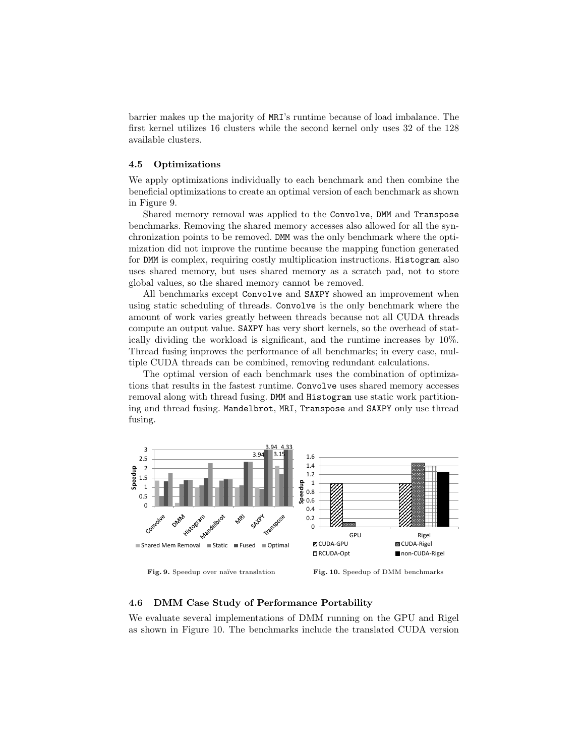barrier makes up the majority of MRI's runtime because of load imbalance. The first kernel utilizes 16 clusters while the second kernel only uses 32 of the 128 available clusters.

#### 4.5 Optimizations

We apply optimizations individually to each benchmark and then combine the beneficial optimizations to create an optimal version of each benchmark as shown in Figure 9.

Shared memory removal was applied to the Convolve, DMM and Transpose benchmarks. Removing the shared memory accesses also allowed for all the synchronization points to be removed. DMM was the only benchmark where the optimization did not improve the runtime because the mapping function generated for DMM is complex, requiring costly multiplication instructions. Histogram also uses shared memory, but uses shared memory as a scratch pad, not to store global values, so the shared memory cannot be removed.

All benchmarks except Convolve and SAXPY showed an improvement when using static scheduling of threads. Convolve is the only benchmark where the amount of work varies greatly between threads because not all CUDA threads compute an output value. SAXPY has very short kernels, so the overhead of statically dividing the workload is significant, and the runtime increases by 10%. Thread fusing improves the performance of all benchmarks; in every case, multiple CUDA threads can be combined, removing redundant calculations.

The optimal version of each benchmark uses the combination of optimizations that results in the fastest runtime. Convolve uses shared memory accesses removal along with thread fusing. DMM and Histogram use static work partitioning and thread fusing. Mandelbrot, MRI, Transpose and SAXPY only use thread fusing.



Fig. 9. Speedup over naïve translation

Fig. 10. Speedup of DMM benchmarks

#### 4.6 DMM Case Study of Performance Portability

We evaluate several implementations of DMM running on the GPU and Rigel as shown in Figure 10. The benchmarks include the translated CUDA version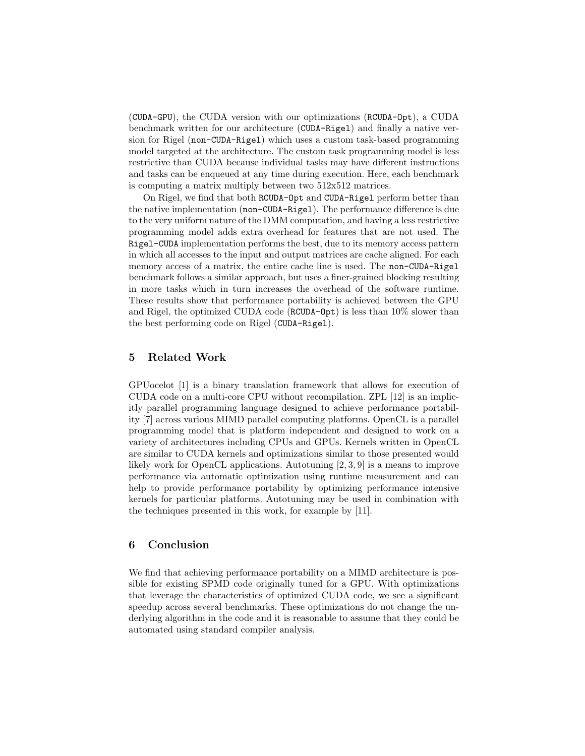(CUDA-GPU), the CUDA version with our optimizations (RCUDA-Opt), a CUDA benchmark written for our architecture (CUDA-Rigel) and finally a native version for Rigel (non-CUDA-Rigel) which uses a custom task-based programming model targeted at the architecture. The custom task programming model is less restrictive than CUDA because individual tasks may have different instructions and tasks can be enqueued at any time during execution. Here, each benchmark is computing a matrix multiply between two 512x512 matrices.

On Rigel, we find that both RCUDA-Opt and CUDA-Rigel perform better than the native implementation (non-CUDA-Rigel). The performance difference is due to the very uniform nature of the DMM computation, and having a less restrictive programming model adds extra overhead for features that are not used. The Rigel-CUDA implementation performs the best, due to its memory access pattern in which all accesses to the input and output matrices are cache aligned. For each memory access of a matrix, the entire cache line is used. The non-CUDA-Rigel benchmark follows a similar approach, but uses a finer-grained blocking resulting in more tasks which in turn increases the overhead of the software runtime. These results show that performance portability is achieved between the GPU and Rigel, the optimized CUDA code (RCUDA-Opt) is less than 10% slower than the best performing code on Rigel (CUDA-Rigel).

# 5 Related Work

GPUocelot [1] is a binary translation framework that allows for execution of CUDA code on a multi-core CPU without recompilation. ZPL [12] is an implicitly parallel programming language designed to achieve performance portability [7] across various MIMD parallel computing platforms. OpenCL is a parallel programming model that is platform independent and designed to work on a variety of architectures including CPUs and GPUs. Kernels written in OpenCL are similar to CUDA kernels and optimizations similar to those presented would likely work for OpenCL applications. Autotuning [2, 3, 9] is a means to improve performance via automatic optimization using runtime measurement and can help to provide performance portability by optimizing performance intensive kernels for particular platforms. Autotuning may be used in combination with the techniques presented in this work, for example by [11].

# 6 Conclusion

We find that achieving performance portability on a MIMD architecture is possible for existing SPMD code originally tuned for a GPU. With optimizations that leverage the characteristics of optimized CUDA code, we see a significant speedup across several benchmarks. These optimizations do not change the underlying algorithm in the code and it is reasonable to assume that they could be automated using standard compiler analysis.